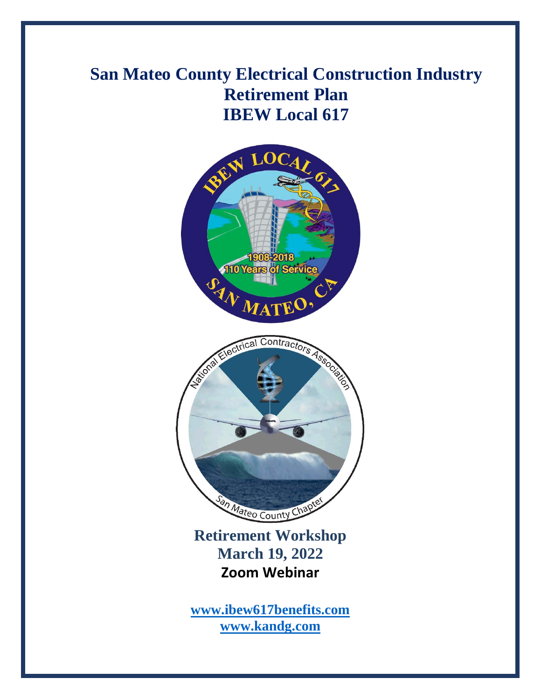# **San Mateo County Electrical Construction Industry Retirement Plan IBEW Local 617**



**[www.ibew617benefits.com](http://www.ibew617benefits.com/) [www.kandg.com](http://www.kandg.com/)**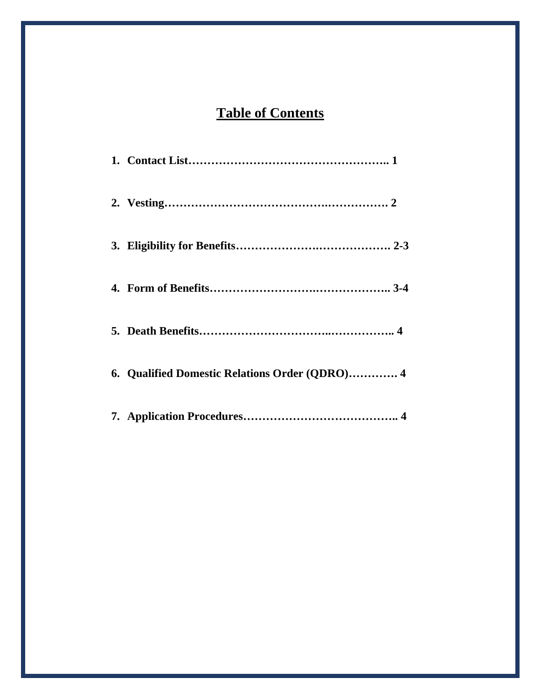## **Table of Contents**

| 6. Qualified Domestic Relations Order (QDRO) 4 |
|------------------------------------------------|
|                                                |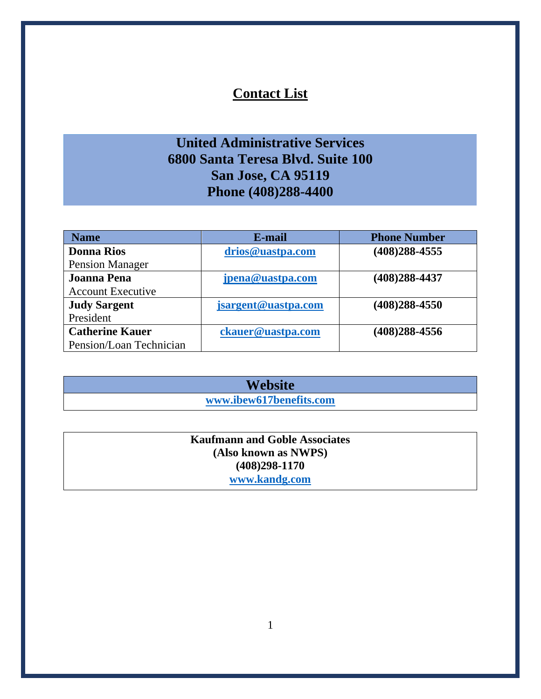### **Contact List**

### **United Administrative Services 6800 Santa Teresa Blvd. Suite 100 San Jose, CA 95119 Phone (408)288-4400**

| <b>Name</b>              | E-mail              | <b>Phone Number</b> |
|--------------------------|---------------------|---------------------|
| <b>Donna Rios</b>        | drios@uastpa.com    | (408)288-4555       |
| <b>Pension Manager</b>   |                     |                     |
| <b>Joanna Pena</b>       | jpena@uastpa.com    | (408)288-4437       |
| <b>Account Executive</b> |                     |                     |
| <b>Judy Sargent</b>      | jsargent@uastpa.com | (408)288-4550       |
| President                |                     |                     |
| <b>Catherine Kauer</b>   | ckauer@uastpa.com   | (408)288-4556       |
| Pension/Loan Technician  |                     |                     |

**Website [www.ibew617benefits.com](http://www.ibew617benefits.com/)**

#### **Kaufmann and Goble Associates (Also known as NWPS) (408)298-1170 [www.kandg.com](http://www.kandg.com/)**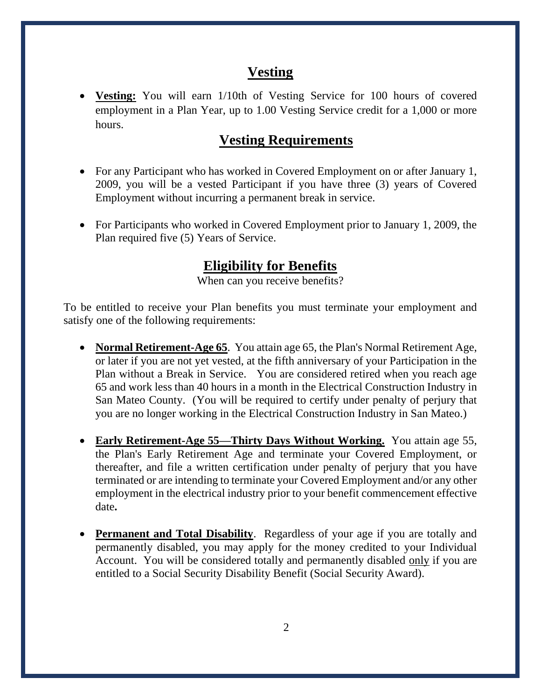#### **Vesting**

• **Vesting:** You will earn 1/10th of Vesting Service for 100 hours of covered employment in a Plan Year, up to 1.00 Vesting Service credit for a 1,000 or more hours.

#### **Vesting Requirements**

- For any Participant who has worked in Covered Employment on or after January 1, 2009, you will be a vested Participant if you have three (3) years of Covered Employment without incurring a permanent break in service.
- For Participants who worked in Covered Employment prior to January 1, 2009, the Plan required five (5) Years of Service.

### **Eligibility for Benefits**

When can you receive benefits?

To be entitled to receive your Plan benefits you must terminate your employment and satisfy one of the following requirements:

- **Normal Retirement-Age 65**. You attain age 65, the Plan's Normal Retirement Age, or later if you are not yet vested, at the fifth anniversary of your Participation in the Plan without a Break in Service. You are considered retired when you reach age 65 and work less than 40 hours in a month in the Electrical Construction Industry in San Mateo County. (You will be required to certify under penalty of perjury that you are no longer working in the Electrical Construction Industry in San Mateo.)
- **Early Retirement-Age 55—Thirty Days Without Working.** You attain age 55, the Plan's Early Retirement Age and terminate your Covered Employment, or thereafter, and file a written certification under penalty of perjury that you have terminated or are intending to terminate your Covered Employment and/or any other employment in the electrical industry prior to your benefit commencement effective date**.**
- **Permanent and Total Disability**. Regardless of your age if you are totally and permanently disabled, you may apply for the money credited to your Individual Account. You will be considered totally and permanently disabled only if you are entitled to a Social Security Disability Benefit (Social Security Award).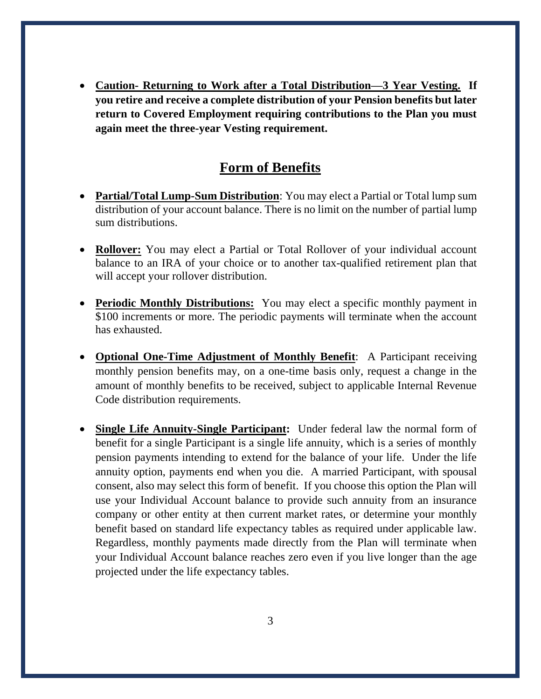• **Caution- Returning to Work after a Total Distribution—3 Year Vesting. If you retire and receive a complete distribution of your Pension benefits but later return to Covered Employment requiring contributions to the Plan you must again meet the three-year Vesting requirement.**

#### **Form of Benefits**

- **Partial/Total Lump-Sum Distribution**: You may elect a Partial or Total lump sum distribution of your account balance. There is no limit on the number of partial lump sum distributions.
- **Rollover:** You may elect a Partial or Total Rollover of your individual account balance to an IRA of your choice or to another tax-qualified retirement plan that will accept your rollover distribution.
- **Periodic Monthly Distributions:** You may elect a specific monthly payment in \$100 increments or more. The periodic payments will terminate when the account has exhausted.
- **Optional One-Time Adjustment of Monthly Benefit**: A Participant receiving monthly pension benefits may, on a one-time basis only, request a change in the amount of monthly benefits to be received, subject to applicable Internal Revenue Code distribution requirements.
- **Single Life Annuity-Single Participant:** Under federal law the normal form of benefit for a single Participant is a single life annuity, which is a series of monthly pension payments intending to extend for the balance of your life. Under the life annuity option, payments end when you die. A married Participant, with spousal consent, also may select this form of benefit. If you choose this option the Plan will use your Individual Account balance to provide such annuity from an insurance company or other entity at then current market rates, or determine your monthly benefit based on standard life expectancy tables as required under applicable law. Regardless, monthly payments made directly from the Plan will terminate when your Individual Account balance reaches zero even if you live longer than the age projected under the life expectancy tables.